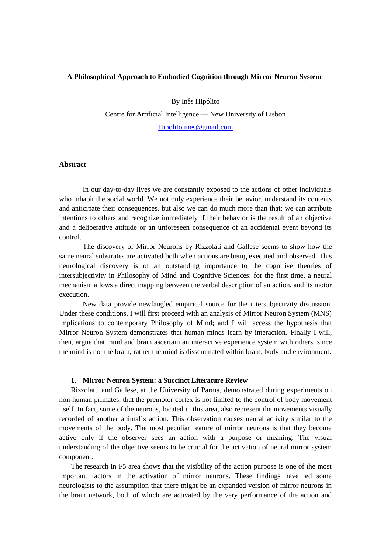# **A Philosophical Approach to Embodied Cognition through Mirror Neuron System**

By Inês Hipólito

Centre for Artificial Intelligence — New University of Lisbon [Hipolito.ines@gmail.com](mailto:Hipolito.ines@gmail.com)

## **Abstract**

In our day-to-day lives we are constantly exposed to the actions of other individuals who inhabit the social world. We not only experience their behavior, understand its contents and anticipate their consequences, but also we can do much more than that: we can attribute intentions to others and recognize immediately if their behavior is the result of an objective and a deliberative attitude or an unforeseen consequence of an accidental event beyond its control.

The discovery of Mirror Neurons by Rizzolati and Gallese seems to show how the same neural substrates are activated both when actions are being executed and observed. This neurological discovery is of an outstanding importance to the cognitive theories of intersubjectivity in Philosophy of Mind and Cognitive Sciences: for the first time, a neural mechanism allows a direct mapping between the verbal description of an action, and its motor execution.

New data provide newfangled empirical source for the intersubjectivity discussion. Under these conditions, I will first proceed with an analysis of Mirror Neuron System (MNS) implications to contemporary Philosophy of Mind; and I will access the hypothesis that Mirror Neuron System demonstrates that human minds learn by interaction. Finally I will, then, argue that mind and brain ascertain an interactive experience system with others, since the mind is not the brain; rather the mind is disseminated within brain, body and environment.

#### **1. Mirror Neuron System: a Succinct Literature Review**

Rizzolatti and Gallese, at the University of Parma, demonstrated during experiments on non-human primates, that the premotor cortex is not limited to the control of body movement itself. In fact, some of the neurons, located in this area, also represent the movements visually recorded of another animal's action. This observation causes neural activity similar to the movements of the body. The most peculiar feature of mirror neurons is that they become active only if the observer sees an action with a purpose or meaning. The visual understanding of the objective seems to be crucial for the activation of neural mirror system component.

The research in F5 area shows that the visibility of the action purpose is one of the most important factors in the activation of mirror neurons. These findings have led some neurologists to the assumption that there might be an expanded version of mirror neurons in the brain network, both of which are activated by the very performance of the action and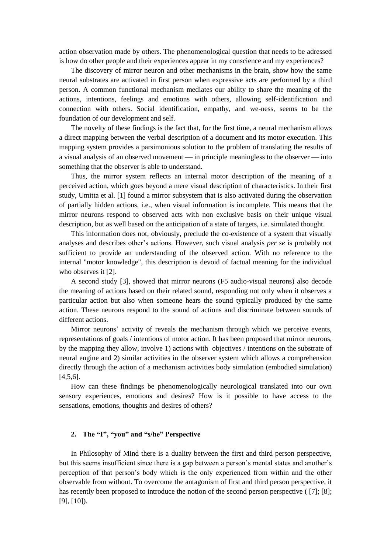action observation made by others. The phenomenological question that needs to be adressed is how do other people and their experiences appear in my conscience and my experiences?

The discovery of mirror neuron and other mechanisms in the brain, show how the same neural substrates are activated in first person when expressive acts are performed by a third person. A common functional mechanism mediates our ability to share the meaning of the actions, intentions, feelings and emotions with others, allowing self-identification and connection with others. Social identification, empathy, and we-ness, seems to be the foundation of our development and self.

The novelty of these findings is the fact that, for the first time, a neural mechanism allows a direct mapping between the verbal description of a document and its motor execution. This mapping system provides a parsimonious solution to the problem of translating the results of a visual analysis of an observed movement — in principle meaningless to the observer — into something that the observer is able to understand.

Thus, the mirror system reflects an internal motor description of the meaning of a perceived action, which goes beyond a mere visual description of characteristics. In their first study, Umitta et al. [1] found a mirror subsystem that is also activated during the observation of partially hidden actions, i.e., when visual information is incomplete. This means that the mirror neurons respond to observed acts with non exclusive basis on their unique visual description, but as well based on the anticipation of a state of targets, i.e. simulated thought.

This information does not, obviously, preclude the co-existence of a system that visually analyses and describes other's actions. However, such visual analysis *per se* is probably not sufficient to provide an understanding of the observed action. With no reference to the internal "motor knowledge", this description is devoid of factual meaning for the individual who observes it [2].

A second study [3], showed that mirror neurons (F5 audio-visual neurons) also decode the meaning of actions based on their related sound, responding not only when it observes a particular action but also when someone hears the sound typically produced by the same action. These neurons respond to the sound of actions and discriminate between sounds of different actions.

Mirror neurons' activity of reveals the mechanism through which we perceive events, representations of goals / intentions of motor action. It has been proposed that mirror neurons, by the mapping they allow, involve 1) actions with objectives / intentions on the substrate of neural engine and 2) similar activities in the observer system which allows a comprehension directly through the action of a mechanism activities body simulation (embodied simulation) [4,5,6].

How can these findings be phenomenologically neurological translated into our own sensory experiences, emotions and desires? How is it possible to have access to the sensations, emotions, thoughts and desires of others?

## **2. The "I", "you" and "s/he" Perspective**

In Philosophy of Mind there is a duality between the first and third person perspective, but this seems insufficient since there is a gap between a person's mental states and another's perception of that person's body which is the only experienced from within and the other observable from without. To overcome the antagonism of first and third person perspective, it has recently been proposed to introduce the notion of the second person perspective ( [7]; [8]; [9], [10]).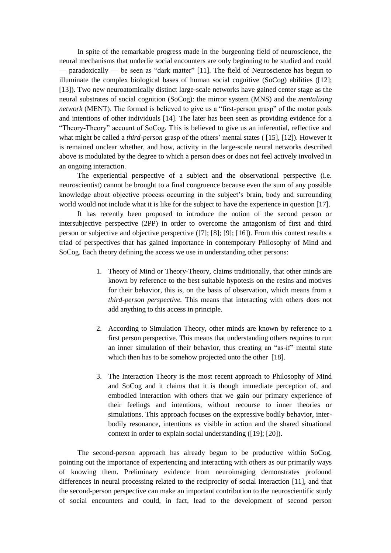In spite of the remarkable progress made in the burgeoning field of neuroscience, the neural mechanisms that underlie social encounters are only beginning to be studied and could — paradoxically — be seen as "dark matter" [11]. The field of Neuroscience has begun to illuminate the complex biological bases of human social cognitive (SoCog) abilities ([12]; [13]). Two new neuroatomically distinct large-scale networks have gained center stage as the neural substrates of social cognition (SoCog): the mirror system (MNS) and the *mentalizing network* (MENT). The formed is believed to give us a "first-person grasp" of the motor goals and intentions of other individuals [14]. The later has been seen as providing evidence for a "Theory-Theory" account of SoCog. This is believed to give us an inferential, reflective and what might be called a *third-person* grasp of the others' mental states ( [15], [12]). However it is remained unclear whether, and how, activity in the large-scale neural networks described above is modulated by the degree to which a person does or does not feel actively involved in an ongoing interaction.

The experiential perspective of a subject and the observational perspective (i.e. neuroscientist) cannot be brought to a final congruence because even the sum of any possible knowledge about objective process occurring in the subject's brain, body and surrounding world would not include what it is like for the subject to have the experience in question [17].

It has recently been proposed to introduce the notion of the second person or intersubjective perspective (2PP) in order to overcome the antagonism of first and third person or subjective and objective perspective ([7]; [8]; [9]; [16]). From this context results a triad of perspectives that has gained importance in contemporary Philosophy of Mind and SoCog. Each theory defining the access we use in understanding other persons:

- 1. Theory of Mind or Theory-Theory, claims traditionally, that other minds are known by reference to the best suitable hypotesis on the resins and motives for their behavior, this is, on the basis of observation, which means from a *third-person perspective.* This means that interacting with others does not add anything to this access in principle.
- 2. According to Simulation Theory, other minds are known by reference to a first person perspective. This means that understanding others requires to run an inner simulation of their behavior, thus creating an "as-if" mental state which then has to be somehow projected onto the other [18].
- 3. The Interaction Theory is the most recent approach to Philosophy of Mind and SoCog and it claims that it is though immediate perception of, and embodied interaction with others that we gain our primary experience of their feelings and intentions, without recourse to inner theories or simulations. This approach focuses on the expressive bodily behavior, interbodily resonance, intentions as visible in action and the shared situational context in order to explain social understanding ([19]; [20]).

The second-person approach has already begun to be productive within SoCog, pointing out the importance of experiencing and interacting with others as our primarily ways of knowing them. Preliminary evidence from neuroimaging demonstrates profound differences in neural processing related to the reciprocity of social interaction [11], and that the second-person perspective can make an important contribution to the neuroscientific study of social encounters and could, in fact, lead to the development of second person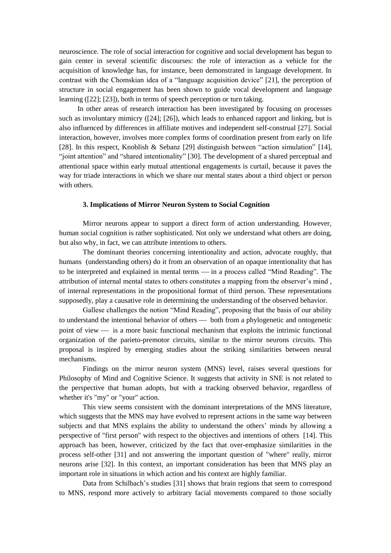neuroscience. The role of social interaction for cognitive and social development has begun to gain center in several scientific discourses: the role of interaction as a vehicle for the acquisition of knowledge has, for instance, been demonstrated in language development. In contrast with the Chomskian idea of a "language acquisition device" [21], the perception of structure in social engagement has been shown to guide vocal development and language learning ([22]; [23]), both in terms of speech perception or turn taking.

In other areas of research interaction has been investigated by focusing on processes such as involuntary mimicry ([24]; [26]), which leads to enhanced rapport and linking, but is also influenced by differences in affiliate motives and independent self-construal [27]. Social interaction, however, involves more complex forms of coordination present from early on life [28]. In this respect, Knoblish & Sebanz [29] distinguish between "action simulation" [14], "joint attention" and "shared intentionality" [30]. The development of a shared perceptual and attentional space within early mutual attentional engagements is curtail, because it paves the way for triade interactions in which we share our mental states about a third object or person with others.

#### **3. Implications of Mirror Neuron System to Social Cognition**

Mirror neurons appear to support a direct form of action understanding. However, human social cognition is rather sophisticated. Not only we understand what others are doing, but also why, in fact, we can attribute intentions to others.

The dominant theories concerning intentionality and action, advocate roughly, that humans (understanding others) do it from an observation of an opaque intentionality that has to be interpreted and explained in mental terms — in a process called "Mind Reading". The attribution of internal mental states to others constitutes a mapping from the observer's mind , of internal representations in the propositional format of third person. These representations supposedly, play a causative role in determining the understanding of the observed behavior.

Gallese challenges the notion "Mind Reading", proposing that the basis of our ability to understand the intentional behavior of others — both from a phylogenetic and ontogenetic point of view — is a more basic functional mechanism that exploits the intrinsic functional organization of the parieto-premotor circuits, similar to the mirror neurons circuits. This proposal is inspired by emerging studies about the striking similarities between neural mechanisms.

Findings on the mirror neuron system (MNS) level, raises several questions for Philosophy of Mind and Cognitive Science. It suggests that activity in SNE is not related to the perspective that human adopts, but with a tracking observed behavior, regardless of whether it's "my" or "your" action.

This view seems consistent with the dominant interpretations of the MNS literature, which suggests that the MNS may have evolved to represent actions in the same way between subjects and that MNS explains the ability to understand the others' minds by allowing a perspective of "first person" with respect to the objectives and intentions of others [14]. This approach has been, however, criticized by the fact that over-emphasize similarities in the process self-other [31] and not answering the important question of "where" really, mirror neurons arise [32]. In this context, an important consideration has been that MNS play an important role in situations in which action and his context are highly familiar.

Data from Schilbach's studies [31] shows that brain regions that seem to correspond to MNS, respond more actively to arbitrary facial movements compared to those socially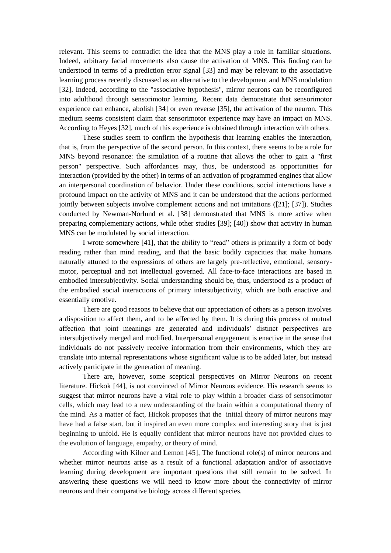relevant. This seems to contradict the idea that the MNS play a role in familiar situations. Indeed, arbitrary facial movements also cause the activation of MNS. This finding can be understood in terms of a prediction error signal [33] and may be relevant to the associative learning process recently discussed as an alternative to the development and MNS modulation [32]. Indeed, according to the "associative hypothesis", mirror neurons can be reconfigured into adulthood through sensorimotor learning. Recent data demonstrate that sensorimotor experience can enhance, abolish [34] or even reverse [35], the activation of the neuron. This medium seems consistent claim that sensorimotor experience may have an impact on MNS. According to Heyes [32], much of this experience is obtained through interaction with others.

These studies seem to confirm the hypothesis that learning enables the interaction, that is, from the perspective of the second person. In this context, there seems to be a role for MNS beyond resonance: the simulation of a routine that allows the other to gain a "first person" perspective. Such affordances may, thus, be understood as opportunities for interaction (provided by the other) in terms of an activation of programmed engines that allow an interpersonal coordination of behavior. Under these conditions, social interactions have a profound impact on the activity of MNS and it can be understood that the actions performed jointly between subjects involve complement actions and not imitations ([21]; [37]). Studies conducted by Newman-Norlund et al. [38] demonstrated that MNS is more active when preparing complementary actions, while other studies [39]; [40]) show that activity in human MNS can be modulated by social interaction.

I wrote somewhere [41], that the ability to "read" others is primarily a form of body reading rather than mind reading, and that the basic bodily capacities that make humans naturally attuned to the expressions of others are largely pre-reflective, emotional, sensorymotor, perceptual and not intellectual governed. All face-to-face interactions are based in embodied intersubjectivity. Social understanding should be, thus, understood as a product of the embodied social interactions of primary intersubjectivity, which are both enactive and essentially emotive.

There are good reasons to believe that our appreciation of others as a person involves a disposition to affect them, and to be affected by them. It is during this process of mutual affection that joint meanings are generated and individuals' distinct perspectives are intersubjectively merged and modified. Interpersonal engagement is enactive in the sense that individuals do not passively receive information from their environments, which they are translate into internal representations whose significant value is to be added later, but instead actively participate in the generation of meaning.

There are, however, some sceptical perspectives on Mirror Neurons on recent literature. Hickok [44], is not convinced of Mirror Neurons evidence. His research seems to suggest that mirror neurons have a vital role to play within a broader class of sensorimotor cells, which may lead to a new understanding of the brain within a computational theory of the mind. As a matter of fact, Hickok proposes that the initial theory of mirror neurons may have had a false start, but it inspired an even more complex and interesting story that is just beginning to unfold. He is equally confident that mirror neurons have not provided clues to the evolution of language, empathy, or theory of mind.

According with Kilner and Lemon [45], The functional role(s) of mirror neurons and whether mirror neurons arise as a result of a functional adaptation and/or of associative learning during development are important questions that still remain to be solved. In answering these questions we will need to know more about the connectivity of mirror neurons and their comparative biology across different species.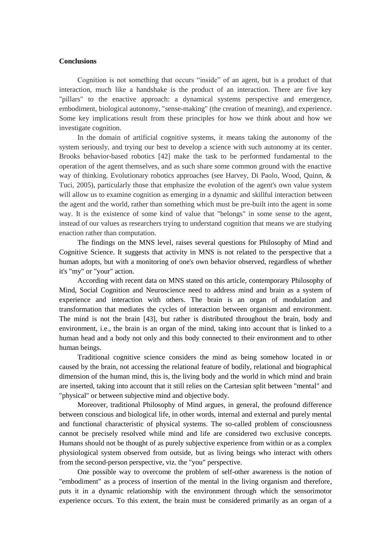### **Conclusions**

Cognition is not something that occurs "inside" of an agent, but is a product of that interaction, much like a handshake is the product of an interaction. There are five key "pillars" to the enactive approach: a dynamical systems perspective and emergence, embodiment, biological autonomy, "sense-making" (the creation of meaning), and experience. Some key implications result from these principles for how we think about and how we investigate cognition.

In the domain of artificial cognitive systems, it means taking the autonomy of the system seriously, and trying our best to develop a science with such autonomy at its center. Brooks behavior-based robotics [42] make the task to be performed fundamental to the operation of the agent themselves, and as such share some common ground with the enactive way of thinking. Evolutionary robotics approaches (see Harvey, Di Paolo, Wood, Quinn, & Tuci, 2005), particularly those that emphasize the evolution of the agent's own value system will allow us to examine cognition as emerging in a dynamic and skillful interaction between the agent and the world, rather than something which must be pre-built into the agent in some way. It is the existence of some kind of value that "belongs" in some sense to the agent, instead of our values as researchers trying to understand cognition that means we are studying enaction rather than computation.

The findings on the MNS level, raises several questions for Philosophy of Mind and Cognitive Science. It suggests that activity in MNS is not related to the perspective that a human adopts, but with a monitoring of one's own behavior observed, regardless of whether it's "my" or "your" action.

According with recent data on MNS stated on this article, contemporary Philosophy of Mind, Social Cognition and Neuroscience need to address mind and brain as a system of experience and interaction with others. The brain is an organ of modulation and transformation that mediates the cycles of interaction between organism and environment. The mind is not the brain [43], but rather is distributed throughout the brain, body and environment, i.e., the brain is an organ of the mind, taking into account that is linked to a human head and a body not only and this body connected to their environment and to other human beings.

Traditional cognitive science considers the mind as being somehow located in or caused by the brain, not accessing the relational feature of bodily, relational and biographical dimension of the human mind, this is, the living body and the world in which mind and brain are inserted, taking into account that it still relies on the Cartesian split between "mental" and "physical" or between subjective mind and objective body.

Moreover, traditional Philosophy of Mind argues, in general, the profound difference between conscious and biological life, in other words, internal and external and purely mental and functional characteristic of physical systems. The so-called problem of consciousness cannot be precisely resolved while mind and life are considered two exclusive concepts. Humans should not be thought of as purely subjective experience from within or as a complex physiological system observed from outside, but as living beings who interact with others from the second-person perspective, viz. the "you" perspective.

One possible way to overcome the problem of self-other awareness is the notion of "embodiment" as a process of insertion of the mental in the living organism and therefore, puts it in a dynamic relationship with the environment through which the sensorimotor experience occurs. To this extent, the brain must be considered primarily as an organ of a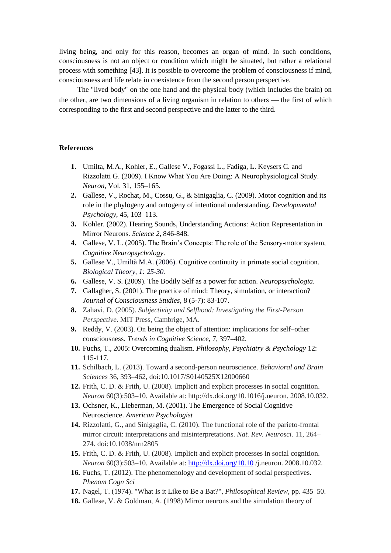living being, and only for this reason, becomes an organ of mind. In such conditions, consciousness is not an object or condition which might be situated, but rather a relational process with something [43]. It is possible to overcome the problem of consciousness if mind, consciousness and life relate in coexistence from the second person perspective.

The "lived body" on the one hand and the physical body (which includes the brain) on the other, are two dimensions of a living organism in relation to others — the first of which corresponding to the first and second perspective and the latter to the third.

## **References**

- **1.** Umilta, M.A., Kohler, E., Gallese V., Fogassi L., Fadiga, L. Keysers C. and Rizzolatti G. (2009). I Know What You Are Doing: A Neurophysiological Study. *Neuron*, Vol. 31, 155–165.
- **2.** Gallese, V., Rochat, M., Cossu, G., & Sinigaglia, C. (2009). Motor cognition and its role in the phylogeny and ontogeny of intentional understanding. *Developmental Psychology*, 45, 103–113.
- **3.** Kohler. (2002). Hearing Sounds, Understanding Actions: Action Representation in Mirror Neurons. *Science 2*, 846-848.
- **4.** Gallese, V. L. (2005). The Brain's Concepts: The role of the Sensory-motor system, *Cognitive Neuropsychology*.
- **5.** Gallese V., Umiltà M.A. (2006). [Cognitive continuity in primate social cognition.](http://www.unipr.it/arpa/mirror/pubs/pdffiles/Gallese/Gallese-Umilta%202006.pdf) *Biological Theory, 1: 25-30.*
- **6.** Gallese, V. S. (2009). The Bodily Self as a power for action. *Neuropsychologia*.
- **7.** Gallagher, S. (2001). The practice of mind: Theory, simulation, or interaction? *Journal of Consciousness Studies,* 8 (5-7): 83-107.
- **8.** Zahavi, D. (2005). *Subjectivity and Selfhood: Investigating the First-Person Perspective*. MIT Press, Cambrige, MA.
- **9.** Reddy, V. (2003). On being the object of attention: implications for self**–**other consciousness. *Trends in Cognitive Science*, 7, 397**–**402.
- **10.** Fuchs, T., 2005: Overcoming dualism. *Philosophy, Psychiatry & Psychology* 12: 115-117.
- **11.** Schilbach, L. (2013). Toward a second-person neuroscience. *Behavioral and Brain Sciences* 36, 393–462, doi:10.1017/S0140525X12000660
- **12.** Frith, C. D. & Frith, U. (2008). Implicit and explicit processes in social cognition. *Neuron* 60(3):503–10. Available at: http://dx.doi.org/10.1016/j.neuron. 2008.10.032.
- **13.** Ochsner, K., Lieberman, M. (2001). The Emergence of Social Cognitive Neuroscience. *American Psychologist*
- **14.** Rizzolatti, G., and Sinigaglia, C. (2010). The functional role of the parieto-frontal mirror circuit: interpretations and misinterpretations. *Nat. Rev. Neurosci.* 11, 264– 274. doi:10.1038/nrn2805
- **15.** Frith, C. D. & Frith, U. (2008). Implicit and explicit processes in social cognition. *Neuron* 60(3):503–10. Available at:<http://dx.doi.org/10.10> /j.neuron. 2008.10.032.
- **16.** Fuchs, T. (2012). The phenomenology and development of social perspectives. *Phenom Cogn Sci*
- **17.** Nagel, T. (1974). "What Is it Like to Be a Bat?", *Philosophical Review*, pp. 435–50.
- **18.** Gallese, V. & Goldman, A. (1998) Mirror neurons and the simulation theory of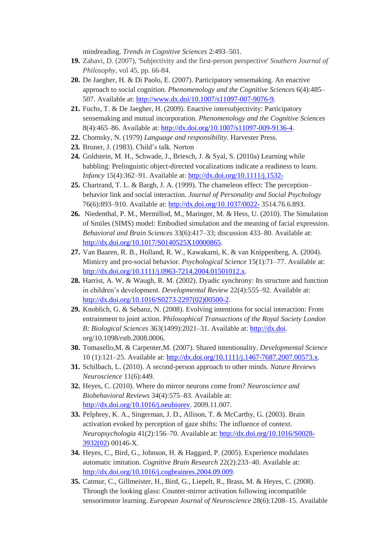mindreading. *Trends in Cognitive Sciences* 2:493–501.

- **19.** Zahavi, D. (2007), 'Subjectivity and the first-person perspective' *Southern Journal of Philosophy*, vol 45, pp. 66-84.
- **20.** De Jaegher, H. & Di Paolo, E. (2007). Participatory sensemaking. An enactive approach to social cognition. *Phenomenology and the Cognitive Sciences* 6(4):485– 507. Available at: [http://www.dx.doi/10.1007/s11097-007-9076-9.](http://www.dx.doi/10.1007/s11097-007-9076-9)
- **21.** Fuchs, T. & De Jaegher, H. (2009). Enactive intersubjectivity: Participatory sensemaking and mutual incorporation. *Phenomenology and the Cognitive Sciences* 8(4):465–86. Available at: [http://dx.doi.org/10.1007/s11097-009-9136-4.](http://dx.doi.org/10.1007/s11097-009-9136-4)
- **22.** Chomsky, N. (1979) *Language and responsibility*. Harvester Press.
- **23.** Bruner, J. (1983). Child's talk. Norton
- **24.** Goldstein, M. H., Schwade, J., Briesch, J. & Syal, S. (2010a) Learning while babbling: Prelinguistic object-directed vocalizations indicate a readiness to learn. *Infancy* 15(4):362–91. Available at:<http://dx.doi.org/10.1111/j.1532->
- **25.** Chartrand, T. L. & Bargh, J. A. (1999). The chameleon effect: The perception– behavior link and social interaction. *Journal of Personality and Social Psychology* 76(6):893–910. Available at:<http://dx.doi.org/10.1037/0022-> 3514.76.6.893.
- **26.** Niedenthal, P. M., Mermillod, M., Maringer, M. & Hess, U. (2010). The Simulation of Smiles (SIMS) model: Embodied simulation and the meaning of facial expression. *Behavioral and Brain Sciences* 33(6):417–33; discussion 433–80. Available at: [http://dx.doi.org/10.1017/S0140525X10000865.](http://dx.doi.org/10.1017/S0140525X10000865)
- **27.** Van Baaren, R. B., Holland, R. W., Kawakami, K. & van Knippenberg, A. (2004). Mimicry and pro-social behavior. *Psychological Science* 15(1):71–77. Available at: [http://dx.doi.org/10.1111/j.0963-7214.2004.01501012.x.](http://dx.doi.org/10.1111/j.0963-7214.2004.01501012.x)
- **28.** Harrist, A. W. & Waugh, R. M. (2002). Dyadic synchrony: Its structure and function in children's development. *Developmental Review* 22(4):555–92. Available at: [http://dx.doi.org/10.1016/S0273-2297\(02\)00500-2.](http://dx.doi.org/10.1016/S0273-2297(02)00500-2)
- **29.** Knoblich, G. & Sebanz, N. (2008). Evolving intentions for social interaction: From entrainment to joint action. P*hilosophical Transactions of the Royal Society London B: Biological Sciences* 363(1499):2021–31. Available at: [http://dx.doi.](http://dx.doi/) org/10.1098/rstb.2008.0006.
- **30.** Tomasello,M. & Carpenter,M. (2007). Shared intentionality. *Developmental Science* 10 (1):121–25. Available at: [http://dx.doi.org/10.1111/j.1467-7687.2007.00573.x.](http://dx.doi.org/10.1111/j.1467-7687.2007.00573.x)
- **31.** Schilbach, L. (2010). A second-person approach to other minds. *Nature Reviews Neuroscience* 11(6):449.
- **32.** Heyes, C. (2010). Where do mirror neurons come from? *Neuroscience and Biobehavioral Reviews* 34(4):575–83. Available at: [http://dx.doi.org/10.1016/j.neubiorev.](http://dx.doi.org/10.1016/j.neubiorev) 2009.11.007.
- **33.** Pelphrey, K. A., Singerman, J. D., Allison, T. & McCarthy, G. (2003). Brain activation evoked by perception of gaze shifts: The influence of context. *Neuropsychologia* 41(2):156–70. Available at: [http://dx.doi.org/10.1016/S0028-](http://dx.doi.org/10.1016/S0028-3932(02) [3932\(02\)](http://dx.doi.org/10.1016/S0028-3932(02) 00146-X.
- **34.** Heyes, C., Bird, G., Johnson, H. & Haggard, P. (2005). Experience modulates automatic imitation. *Cognitive Brain Research* 22(2):233–40. Available at: [http://dx.doi.org/10.1016/j.cogbrainres.2004.09.009.](http://dx.doi.org/10.1016/j.cogbrainres.2004.09.009)
- **35.** Catmur, C., Gillmeister, H., Bird, G., Liepelt, R., Brass, M. & Heyes, C. (2008). Through the looking glass: Counter-mirror activation following incompatible sensorimotor learning. *European Journal of Neuroscience* 28(6):1208–15. Available